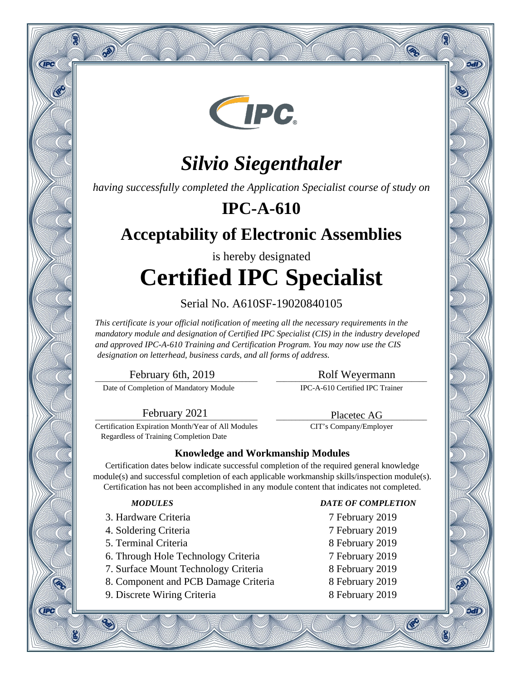

# *Silvio Siegenthaler*

*having successfully completed the Application Specialist course of study on*

### **IPC-A-610**

### **Acceptability of Electronic Assemblies**

# is hereby designated **Certified IPC Specialist**

### Serial No. A610SF-19020840105

*This certificate is your official notification of meeting all the necessary requirements in the mandatory module and designation of Certified IPC Specialist (CIS) in the industry developed and approved IPC-A-610 Training and Certification Program. You may now use the CIS designation on letterhead, business cards, and all forms of address.*

\_\_\_\_\_\_\_\_\_\_\_\_\_\_\_\_\_\_\_\_\_\_\_\_\_\_\_\_\_\_\_\_\_\_\_\_\_\_\_\_\_\_ February 6th, 2019

Q

**CIPC** 

**CIPC** 

 $\mathcal{P}$ 

Date of Completion of Mandatory Module

\_\_\_\_\_\_\_\_\_\_\_\_\_\_\_\_\_\_\_\_\_\_\_\_\_\_\_\_\_\_\_\_\_\_\_\_\_\_\_ Rolf Weyermann

Q

oan

9वारे

®

IPC-A-610 Certified IPC Trainer

\_\_\_\_\_\_\_\_\_\_\_\_\_\_\_\_\_\_\_\_\_\_\_\_\_\_\_\_\_\_\_\_\_\_\_\_\_\_\_ Placetec AG CIT's Company/Employer

\_\_\_\_\_\_\_\_\_\_\_\_\_\_\_\_\_\_\_\_\_\_\_\_\_\_\_\_\_\_\_\_\_\_\_\_\_\_\_\_\_\_ February 2021

Certification Expiration Month/Year of All Modules Regardless of Training Completion Date

### **Knowledge and Workmanship Modules**

Certification dates below indicate successful completion of the required general knowledge module(s) and successful completion of each applicable workmanship skills/inspection module(s). Certification has not been accomplished in any module content that indicates not completed.

- 3. Hardware Criteria 7 February 2019
- 4. Soldering Criteria 7 February 2019
- 5. Terminal Criteria 8 February 2019
- 6. Through Hole Technology Criteria 7 February 2019
- 7. Surface Mount Technology Criteria 8 February 2019
- 8. Component and PCB Damage Criteria 8 February 2019
- 9. Discrete Wiring Criteria 8 February 2019

#### *MODULES DATE OF COMPLETION*

- 
- 
- 
- 
- 
- 
- 

 $\mathcal{C}$